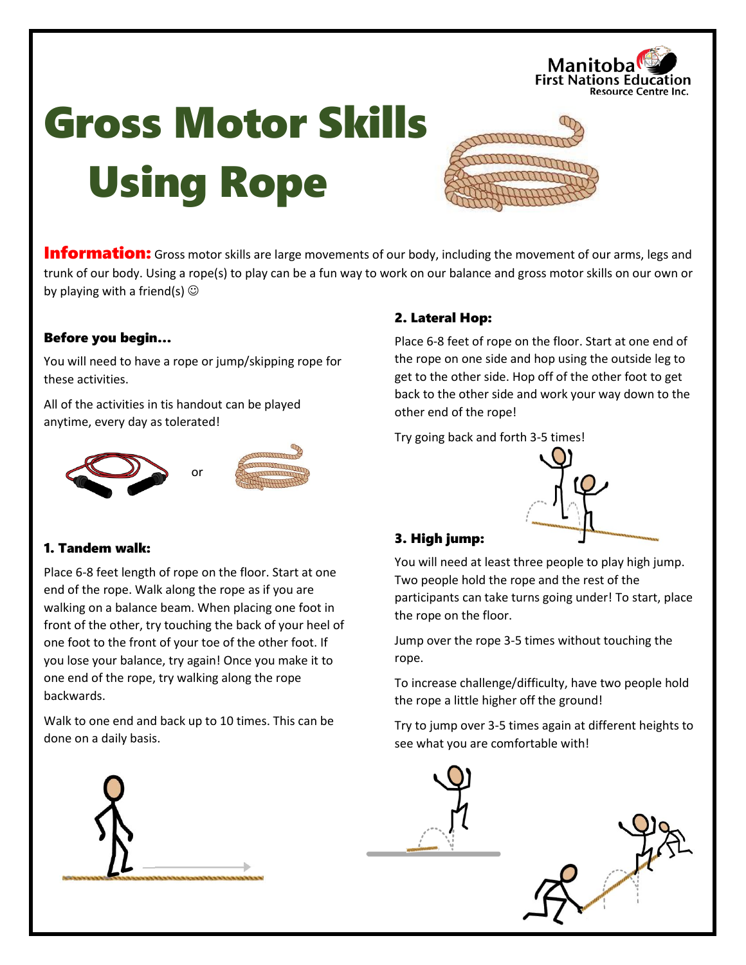

# Gross Motor Skills Using Rope



**Information:** Gross motor skills are large movements of our body, including the movement of our arms, legs and trunk of our body. Using a rope(s) to play can be a fun way to work on our balance and gross motor skills on our own or by playing with a friend(s)  $\odot$ 

## Before you begin…

You will need to have a rope or jump/skipping rope for these activities.

All of the activities in tis handout can be played anytime, every day as tolerated!



# 1. Tandem walk:

Place 6-8 feet length of rope on the floor. Start at one end of the rope. Walk along the rope as if you are walking on a balance beam. When placing one foot in front of the other, try touching the back of your heel of one foot to the front of your toe of the other foot. If you lose your balance, try again! Once you make it to one end of the rope, try walking along the rope backwards.

Walk to one end and back up to 10 times. This can be done on a daily basis.



# 2. Lateral Hop:

Place 6-8 feet of rope on the floor. Start at one end of the rope on one side and hop using the outside leg to get to the other side. Hop off of the other foot to get back to the other side and work your way down to the other end of the rope!

Try going back and forth 3-5 times!



# 3. High jump:

You will need at least three people to play high jump. Two people hold the rope and the rest of the participants can take turns going under! To start, place the rope on the floor.

Jump over the rope 3-5 times without touching the rope.

To increase challenge/difficulty, have two people hold the rope a little higher off the ground!

Try to jump over 3-5 times again at different heights to see what you are comfortable with!